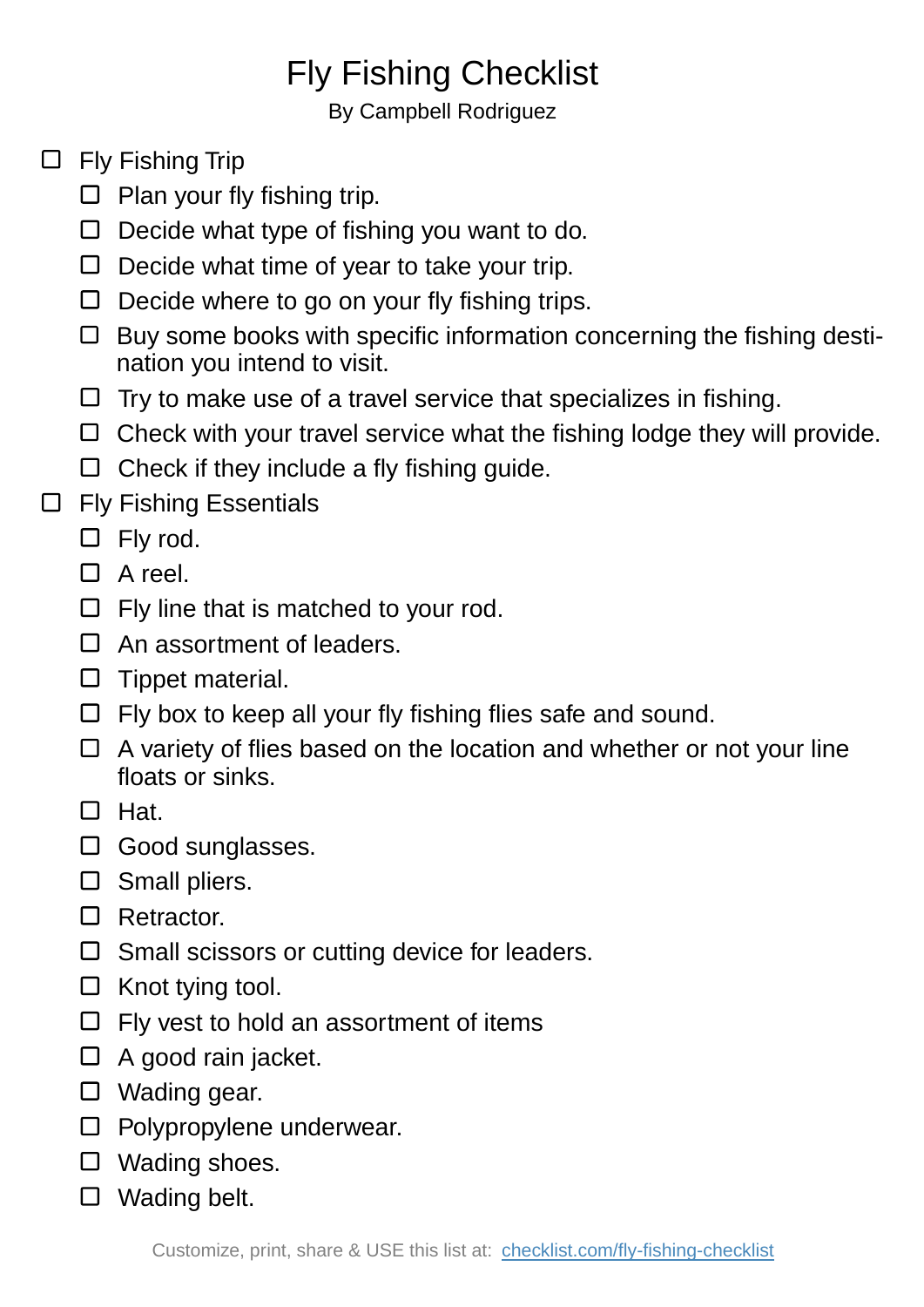## Fly Fishing Checklist

By Campbell Rodriguez

- $\Box$  Fly Fishing Trip
	- $\Box$  Plan your fly fishing trip.
	- $\square$  Decide what type of fishing you want to do.
	- $\Box$  Decide what time of year to take your trip.
	- $\square$  Decide where to go on your fly fishing trips.
	- $\Box$  Buy some books with specific information concerning the fishing destination you intend to visit.
	- $\Box$  Try to make use of a travel service that specializes in fishing.
	- $\Box$  Check with your travel service what the fishing lodge they will provide.
	- $\Box$  Check if they include a fly fishing guide.
- □ Fly Fishing Essentials
	- $\square$  Fly rod.
	- $\Box$  A reel.
	- $\Box$  Fly line that is matched to your rod.
	- $\Box$  An assortment of leaders.
	- $\square$  Tippet material.
	- $\Box$  Fly box to keep all your fly fishing flies safe and sound.
	- $\Box$  A variety of flies based on the location and whether or not your line floats or sinks.
	- $\square$  Hat.
	- $\square$  Good sunglasses.
	- $\square$  Small pliers.
	- □ Retractor.
	- $\square$  Small scissors or cutting device for leaders.
	- $\Box$  Knot tying tool.
	- $\Box$  Fly vest to hold an assortment of items
	- $\Box$  A good rain jacket.
	- □ Wading gear.
	- $\square$  Polypropylene underwear.
	- Wading shoes.
	- □ Wading belt.